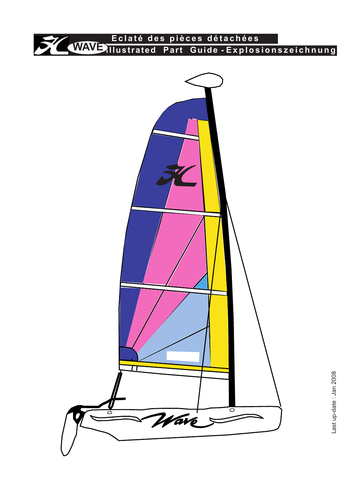

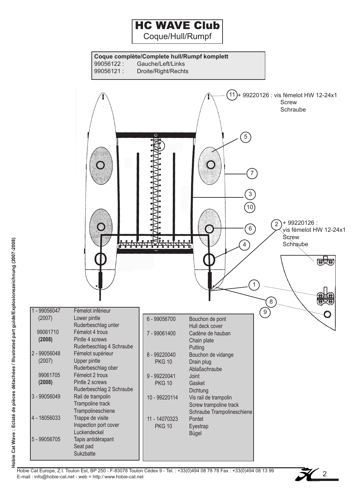Coque/Hull/Rumpf



Hobie Cat Europe, Z.I. Toulon Est, BP 250 - F-83078 Toulon Cédex 9 - Tel. : +33(0)494 08 78 78 Fax : +33(0)494 08 13 99 E-mail : info@hobie-cat.net - web = http:/:www.hobie-cat.net

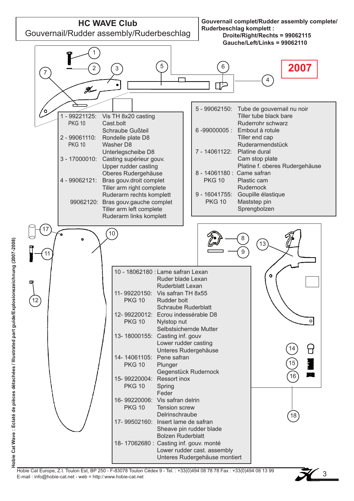

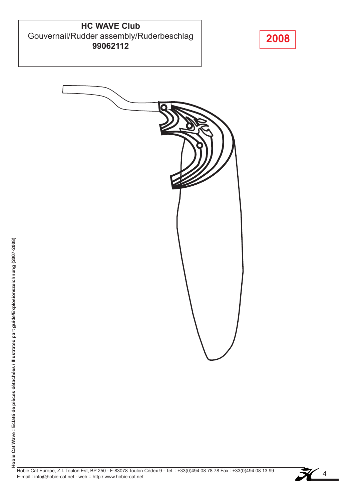#### **HC WAVE Club** Gouvernail/Rudder assembly/Ruderbeschlag **99062112**





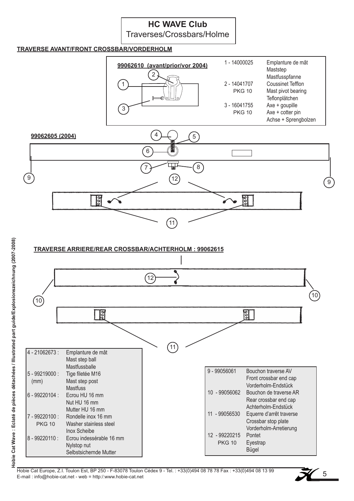Traverses/Crossbars/Holme

#### **TRAVERSE AVANT/FRONT CROSSBAR/VORDERHOLM**





#### **TRAVERSE ARRIERE/REAR CROSSBAR/ACHTERHOLM : 99062615**



Hobie Cat Europe, Z.I. Toulon Est, BP 250 - F-83078 Toulon Cédex 9 - Tel. : +33(0)494 08 78 78 Fax : +33(0)494 08 13 99 E-mail : info@hobie-cat.net - web = http:/:www.hobie-cat.net

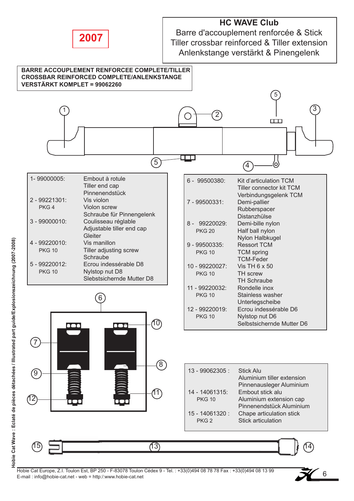

Barre d'accouplement renforcée & Stick Tiller crossbar reinforced & Tiller extension Anlenkstange verstärkt & Pinengelenk



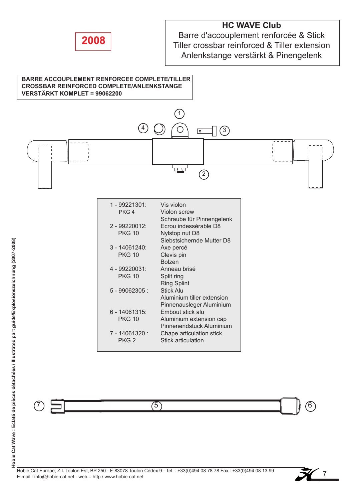

Barre d'accouplement renforcée & Stick Tiller crossbar reinforced & Tiller extension Anlenkstange verstärkt & Pinengelenk

#### **BARRE ACCOUPLEMENT RENFORCEE COMPLETE/TILLER CROSSBAR REINFORCED COMPLETE/ANLENKSTANGE VERSTÄRKT KOMPLET = 99062200**



| PNG 4            | VIOIOIT SCIEW              |
|------------------|----------------------------|
|                  | Schraube für Pinnengelenk  |
| 2 - 99220012:    | Ecrou indessérable D8      |
| <b>PKG 10</b>    | Nylstop nut D8             |
|                  | Slebstsichernde Mutter D8  |
| 3 - 14061240:    | Axe percé                  |
| <b>PKG 10</b>    | Clevis pin                 |
|                  | <b>Bolzen</b>              |
| 4 - 99220031:    | Anneau brisé               |
| <b>PKG 10</b>    | Split ring                 |
|                  | <b>Ring Splint</b>         |
| $5 - 99062305$ : | <b>Stick Alu</b>           |
|                  | Aluminium tiller extension |
|                  | Pinnenausleger Aluminium   |
| 6 - 14061315:    | Embout stick alu           |
| <b>PKG 10</b>    | Aluminium extension cap    |
|                  | Pinnenendstück Aluminium   |
| 7 - 14061320 :   | Chape articulation stick   |
| PKG <sub>2</sub> | Stick articulation         |
|                  |                            |

 $(7)$   $\Box$ 

 $7\frac{1}{2}$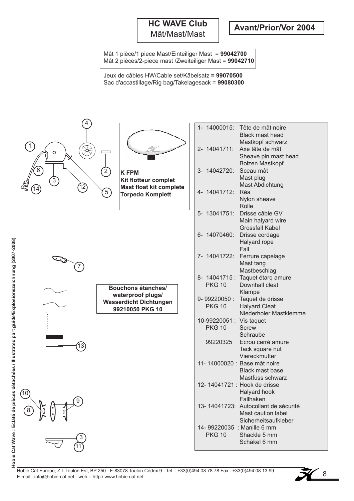#### **HC WAVE Club** Mât/Mast/Mast

Mât 1 pièce/1 piece Mast/Einteiliger Mast = **99042700** Mât 2 pièces/2-piece mast /Zweiteiliger Mast = **99042710**

Jeux de câbles HW/Cable set/Käbelsatz **= 99070500** Sac d'accastillage/Rig bag/Takelagesack = **99080300**



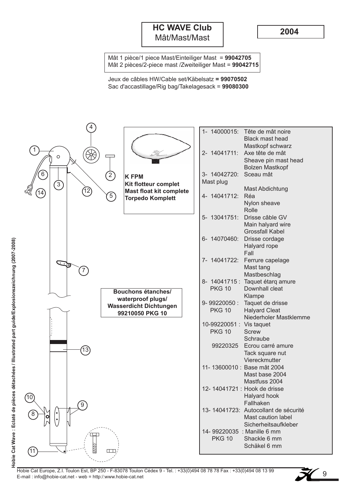#### **HC WAVE Club** Mât/Mast/Mast

**2004**

Mât 1 pièce/1 piece Mast/Einteiliger Mast = **99042705** Mât 2 pièces/2-piece mast /Zweiteiliger Mast = **99042715**

Jeux de câbles HW/Cable set/Käbelsatz **= 99070502** Sac d'accastillage/Rig bag/Takelagesack = **99080300**



Hobie Cat Europe, Z.I. Toulon Est, BP 250 - F-83078 Toulon Cédex 9 - Tel. : +33(0)494 08 78 78 Fax : +33(0)494 08 13 99 E-mail : info@hobie-cat.net - web = http:/:www.hobie-cat.net

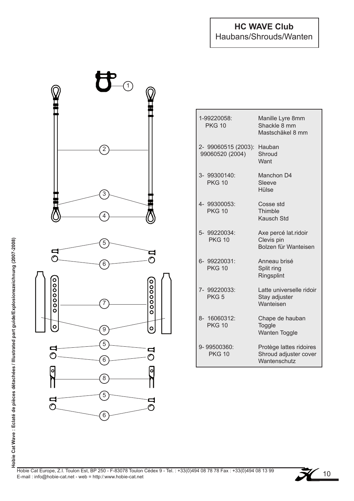#### **HC WAVE Club** Haubans/Shrouds/Wanten



| 1-99220058:<br><b>PKG 10</b>           | Manille Lyre 8mm<br>Shackle 8 mm<br>Mastschäkel 8 mm             |
|----------------------------------------|------------------------------------------------------------------|
| 2- 99060515 (2003):<br>99060520 (2004) | Hauban<br>Shroud<br>Want                                         |
| 3- 99300140:<br><b>PKG 10</b>          | Manchon D4<br>Sleeve<br>Hülse                                    |
| 4- 99300053:<br><b>PKG 10</b>          | Cosse std<br>Thimble<br><b>Kausch Std</b>                        |
| 5- 99220034:<br><b>PKG 10</b>          | Axe percé lat.ridoir<br>Clevis pin<br>Bolzen für Wanteisen       |
| 6- 99220031:<br><b>PKG 10</b>          | Anneau brisé<br>Split ring<br>Ringsplint                         |
| 7- 99220033:<br>PKG <sub>5</sub>       | Latte universelle ridoir<br>Stay adjuster<br>Wanteisen           |
| 8- 16060312:<br><b>PKG 10</b>          | Chape de hauban<br>Toggle<br><b>Wanten Toggle</b>                |
| 9-99500360:<br><b>PKG 10</b>           | Protège lattes ridoires<br>Shroud adjuster cover<br>Wantenschutz |



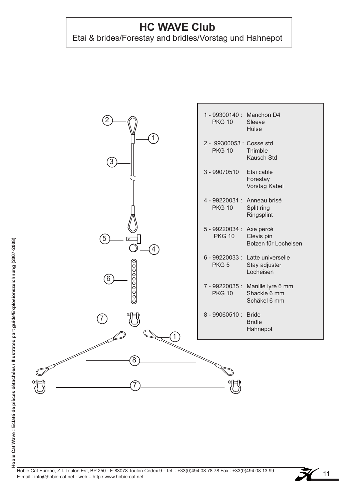## Etai & brides/Forestay and bridles/Vorstag und Hahnepot



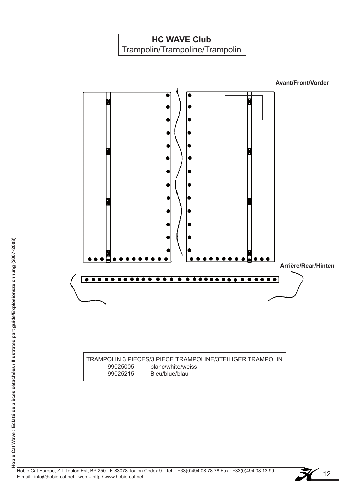Trampolin/Trampoline/Trampolin

**Avant/Front/Vorder**



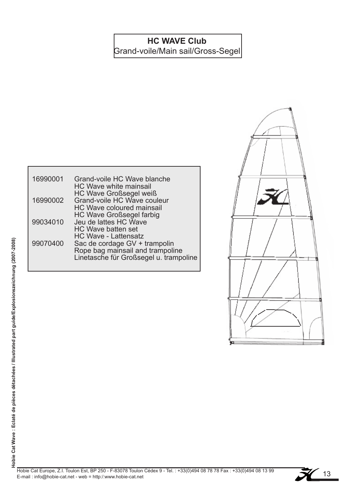Grand-voile/Main sail/Gross-Segel

| 16990001 | Grand-voile HC Wave blanche<br><b>HC Wave white mainsail</b>                       |
|----------|------------------------------------------------------------------------------------|
| 16990002 | HC Wave Großsegel weiß<br>Grand-voile HC Wave couleur<br>HC Wave coloured mainsail |
| 99034010 | <b>HC Wave Großsegel farbig</b><br>Jeu de lattes HC Wave<br>HC Wave batten set     |
| 99070400 | <b>HC Wave - Lattensatz</b><br>Sac de cordage GV + trampolin                       |
|          | Rope bag mainsail and trampoline<br>Linetasche für Großsegel u. trampoline         |



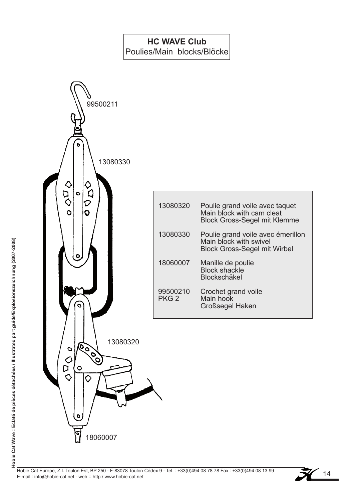Poulies/Main blocks/Blöcke